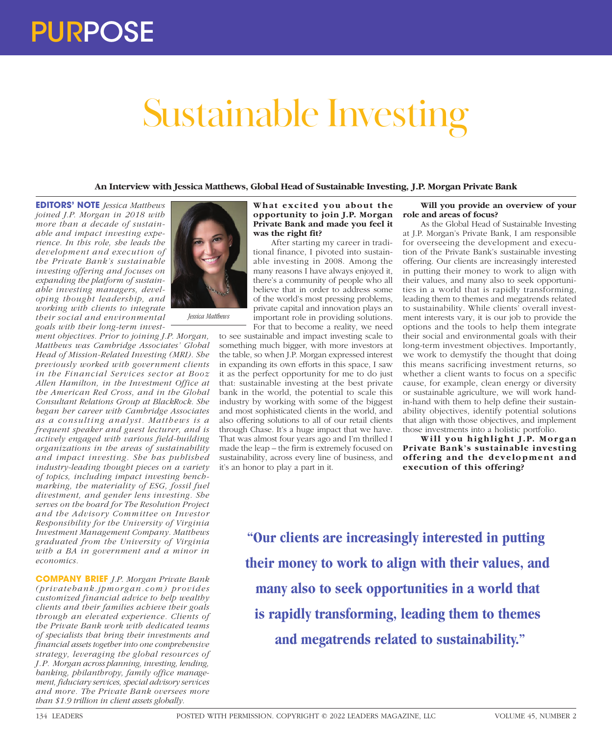## Sustainable Investing

**An Interview with Jessica Matthews, Global Head of Sustainable Investing, J.P. Morgan Private Bank**

**EDITORS' NOTE** *Jessica Matthews joined J.P. Morgan in 2018 with more than a decade of sustainable and impact investing experience. In this role, she leads the development and execution of the Private Bank's sustainable investing offering and focuses on expanding the platform of sustainable investing managers, developing thought leadership, and working with clients to integrate their social and environmental goals with their long-term invest-*

*ment objectives. Prior to joining J.P. Morgan, Matthews was Cambridge Associates' Global Head of Mission-Related Investing (MRI). She previously worked with government clients in the Financial Services sector at Booz Allen Hamilton, in the Investment Office at the American Red Cross, and in the Global Consultant Relations Group at BlackRock. She began her career with Cambridge Associates as a consulting analyst. Matthews is a frequent speaker and guest lecturer, and is actively engaged with various field-building organizations in the areas of sustainability and impact investing. She has published industry-leading thought pieces on a variety of topics, including impact investing benchmarking, the materiality of ESG, fossil fuel divestment, and gender lens investing. She serves on the board for The Resolution Project and the Advisory Committee on Investor Responsibility for the University of Virginia Investment Management Company. Matthews graduated from the University of Virginia with a BA in government and a minor in economics.* 

*Jessica Matthews*

**COMPANY BRIEF** *J.P. Morgan Private Bank (privatebank.jpmor gan.com) pr ovides customized financial advice to help wealthy clients and their families achieve their goals through an elevated experience. Clients of the Private Bank work with dedicated teams of specialists that bring their investments and financial assets together into one comprehensive strategy, leveraging the global resources of J.P. Morgan across planning, investing, lending, banking, philanthropy, family office management, fiduciary services, special advisory services and more. The Private Bank oversees more than \$1.9 trillion in client assets globally.*



After starting my career in traditional finance, I pivoted into sustainable investing in 2008. Among the many reasons I have always enjoyed it, there's a community of people who all believe that in order to address some of the world's most pressing problems, private capital and innovation plays an important role in providing solutions. For that to become a reality, we need

to see sustainable and impact investing scale to something much bigger, with more investors at the table, so when J.P. Morgan expressed interest in expanding its own efforts in this space, I saw it as the perfect opportunity for me to do just that: sustainable investing at the best private bank in the world, the potential to scale this industry by working with some of the biggest and most sophisticated clients in the world, and also offering solutions to all of our retail clients through Chase. It's a huge impact that we have. That was almost four years ago and I'm thrilled I made the leap – the firm is extremely focused on sustainability, across every line of business, and it's an honor to play a part in it.

## **Will you provide an overview of your role and areas of focus?**

As the Global Head of Sustainable Investing at J.P. Morgan's Private Bank, I am responsible for overseeing the development and execution of the Private Bank's sustainable investing offering. Our clients are increasingly interested in putting their money to work to align with their values, and many also to seek opportunities in a world that is rapidly transforming, leading them to themes and megatrends related to sustainability. While clients' overall investment interests vary, it is our job to provide the options and the tools to help them integrate their social and environmental goals with their long-term investment objectives. Importantly, we work to demystify the thought that doing this means sacrificing investment returns, so whether a client wants to focus on a specific cause, for example, clean energy or diversity or sustainable agriculture, we will work handin-hand with them to help define their sustainability objectives, identify potential solutions that align with those objectives, and implement those investments into a holistic portfolio.

Will you highlight J.P. Morgan **Private Bank's sustainable investing**  offering and the development and **execution of this offering?**

**"Our clients are increasingly interested in putting their money to work to align with their values, and many also to seek opportunities in a world that is rapidly transforming, leading them to themes and megatrends related to sustainability."**